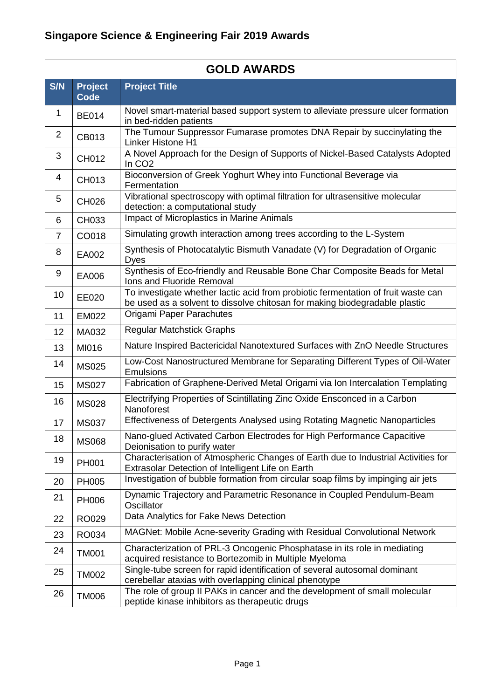|            |                        | <b>GOLD AWARDS</b>                                                                                                                                              |  |  |  |
|------------|------------------------|-----------------------------------------------------------------------------------------------------------------------------------------------------------------|--|--|--|
| <b>S/N</b> | <b>Project</b><br>Code | <b>Project Title</b>                                                                                                                                            |  |  |  |
| 1          | <b>BE014</b>           | Novel smart-material based support system to alleviate pressure ulcer formation<br>in bed-ridden patients                                                       |  |  |  |
| 2          | CB013                  | The Tumour Suppressor Fumarase promotes DNA Repair by succinylating the<br><b>Linker Histone H1</b>                                                             |  |  |  |
| 3          | CH012                  | A Novel Approach for the Design of Supports of Nickel-Based Catalysts Adopted<br>In CO <sub>2</sub>                                                             |  |  |  |
| 4          | CH013                  | Bioconversion of Greek Yoghurt Whey into Functional Beverage via<br>Fermentation                                                                                |  |  |  |
| 5          | CH026                  | Vibrational spectroscopy with optimal filtration for ultrasensitive molecular<br>detection: a computational study                                               |  |  |  |
| 6          | CH033                  | Impact of Microplastics in Marine Animals                                                                                                                       |  |  |  |
| 7          | CO018                  | Simulating growth interaction among trees according to the L-System                                                                                             |  |  |  |
| 8          | EA002                  | Synthesis of Photocatalytic Bismuth Vanadate (V) for Degradation of Organic<br><b>Dyes</b>                                                                      |  |  |  |
| 9          | EA006                  | Synthesis of Eco-friendly and Reusable Bone Char Composite Beads for Metal<br>Ions and Fluoride Removal                                                         |  |  |  |
| 10         | EE020                  | To investigate whether lactic acid from probiotic fermentation of fruit waste can<br>be used as a solvent to dissolve chitosan for making biodegradable plastic |  |  |  |
| 11         | <b>EM022</b>           | Origami Paper Parachutes                                                                                                                                        |  |  |  |
| 12         | MA032                  | <b>Regular Matchstick Graphs</b>                                                                                                                                |  |  |  |
| 13         | MI016                  | Nature Inspired Bactericidal Nanotextured Surfaces with ZnO Needle Structures                                                                                   |  |  |  |
| 14         | <b>MS025</b>           | Low-Cost Nanostructured Membrane for Separating Different Types of Oil-Water<br>Emulsions                                                                       |  |  |  |
| 15         | <b>MS027</b>           | Fabrication of Graphene-Derived Metal Origami via Ion Intercalation Templating                                                                                  |  |  |  |
| 16         | <b>MS028</b>           | Electrifying Properties of Scintillating Zinc Oxide Ensconced in a Carbon<br>Nanoforest                                                                         |  |  |  |
| 17         | <b>MS037</b>           | Effectiveness of Detergents Analysed using Rotating Magnetic Nanoparticles                                                                                      |  |  |  |
| 18         | <b>MS068</b>           | Nano-glued Activated Carbon Electrodes for High Performance Capacitive<br>Deionisation to purify water                                                          |  |  |  |
| 19         | PH001                  | Characterisation of Atmospheric Changes of Earth due to Industrial Activities for<br>Extrasolar Detection of Intelligent Life on Earth                          |  |  |  |
| 20         | <b>PH005</b>           | Investigation of bubble formation from circular soap films by impinging air jets                                                                                |  |  |  |
| 21         | <b>PH006</b>           | Dynamic Trajectory and Parametric Resonance in Coupled Pendulum-Beam<br>Oscillator                                                                              |  |  |  |
| 22         | RO029                  | Data Analytics for Fake News Detection                                                                                                                          |  |  |  |
| 23         | RO034                  | MAGNet: Mobile Acne-severity Grading with Residual Convolutional Network                                                                                        |  |  |  |
| 24         | <b>TM001</b>           | Characterization of PRL-3 Oncogenic Phosphatase in its role in mediating<br>acquired resistance to Bortezomib in Multiple Myeloma                               |  |  |  |
| 25         | <b>TM002</b>           | Single-tube screen for rapid identification of several autosomal dominant<br>cerebellar ataxias with overlapping clinical phenotype                             |  |  |  |
| 26         | <b>TM006</b>           | The role of group II PAKs in cancer and the development of small molecular<br>peptide kinase inhibitors as therapeutic drugs                                    |  |  |  |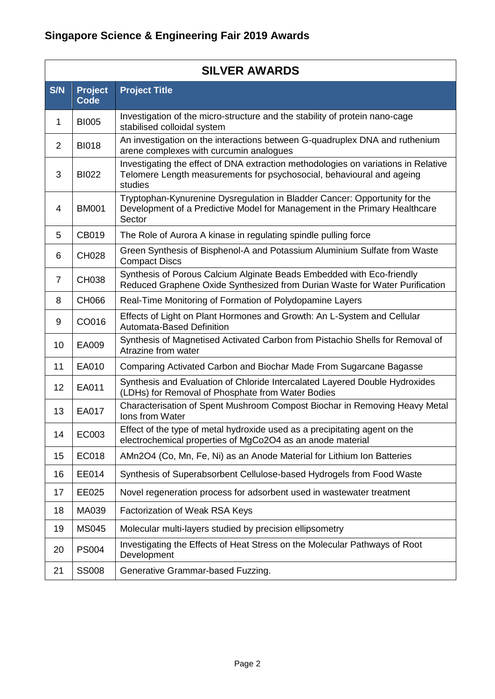|                |                               | <b>SILVER AWARDS</b>                                                                                                                                                   |  |  |  |
|----------------|-------------------------------|------------------------------------------------------------------------------------------------------------------------------------------------------------------------|--|--|--|
| S/N            | <b>Project</b><br><b>Code</b> | <b>Project Title</b>                                                                                                                                                   |  |  |  |
| 1              | <b>BI005</b>                  | Investigation of the micro-structure and the stability of protein nano-cage<br>stabilised colloidal system                                                             |  |  |  |
| 2              | <b>BI018</b>                  | An investigation on the interactions between G-quadruplex DNA and ruthenium<br>arene complexes with curcumin analogues                                                 |  |  |  |
| 3              | <b>BI022</b>                  | Investigating the effect of DNA extraction methodologies on variations in Relative<br>Telomere Length measurements for psychosocial, behavioural and ageing<br>studies |  |  |  |
| 4              | <b>BM001</b>                  | Tryptophan-Kynurenine Dysregulation in Bladder Cancer: Opportunity for the<br>Development of a Predictive Model for Management in the Primary Healthcare<br>Sector     |  |  |  |
| 5              | CB019                         | The Role of Aurora A kinase in regulating spindle pulling force                                                                                                        |  |  |  |
| 6              | <b>CH028</b>                  | Green Synthesis of Bisphenol-A and Potassium Aluminium Sulfate from Waste<br><b>Compact Discs</b>                                                                      |  |  |  |
| $\overline{7}$ | CH038                         | Synthesis of Porous Calcium Alginate Beads Embedded with Eco-friendly<br>Reduced Graphene Oxide Synthesized from Durian Waste for Water Purification                   |  |  |  |
| 8              | CH066                         | Real-Time Monitoring of Formation of Polydopamine Layers                                                                                                               |  |  |  |
| 9              | CO016                         | Effects of Light on Plant Hormones and Growth: An L-System and Cellular<br>Automata-Based Definition                                                                   |  |  |  |
| 10             | EA009                         | Synthesis of Magnetised Activated Carbon from Pistachio Shells for Removal of<br>Atrazine from water                                                                   |  |  |  |
| 11             | EA010                         | Comparing Activated Carbon and Biochar Made From Sugarcane Bagasse                                                                                                     |  |  |  |
| 12             | EA011                         | Synthesis and Evaluation of Chloride Intercalated Layered Double Hydroxides<br>(LDHs) for Removal of Phosphate from Water Bodies                                       |  |  |  |
| 13             | EA017                         | Characterisation of Spent Mushroom Compost Biochar in Removing Heavy Metal<br><b>Ions from Water</b>                                                                   |  |  |  |
| 14             | EC003                         | Effect of the type of metal hydroxide used as a precipitating agent on the<br>electrochemical properties of MgCo2O4 as an anode material                               |  |  |  |
| 15             | EC018                         | AMn2O4 (Co, Mn, Fe, Ni) as an Anode Material for Lithium Ion Batteries                                                                                                 |  |  |  |
| 16             | EE014                         | Synthesis of Superabsorbent Cellulose-based Hydrogels from Food Waste                                                                                                  |  |  |  |
| 17             | EE025                         | Novel regeneration process for adsorbent used in wastewater treatment                                                                                                  |  |  |  |
| 18             | MA039                         | Factorization of Weak RSA Keys                                                                                                                                         |  |  |  |
| 19             | <b>MS045</b>                  | Molecular multi-layers studied by precision ellipsometry                                                                                                               |  |  |  |
| 20             | <b>PS004</b>                  | Investigating the Effects of Heat Stress on the Molecular Pathways of Root<br>Development                                                                              |  |  |  |
| 21             | <b>SS008</b>                  | Generative Grammar-based Fuzzing.                                                                                                                                      |  |  |  |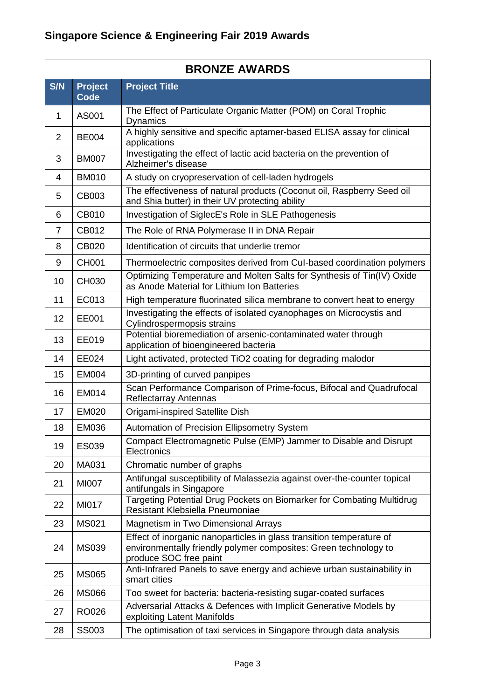|                | <b>BRONZE AWARDS</b> |                                                                                                                                                                    |  |  |  |
|----------------|----------------------|--------------------------------------------------------------------------------------------------------------------------------------------------------------------|--|--|--|
| S/N            | <b>Project</b>       | <b>Project Title</b>                                                                                                                                               |  |  |  |
|                | <b>Code</b>          | The Effect of Particulate Organic Matter (POM) on Coral Trophic                                                                                                    |  |  |  |
| 1              | AS001                | <b>Dynamics</b>                                                                                                                                                    |  |  |  |
| $\overline{2}$ | <b>BE004</b>         | A highly sensitive and specific aptamer-based ELISA assay for clinical<br>applications                                                                             |  |  |  |
| 3              | <b>BM007</b>         | Investigating the effect of lactic acid bacteria on the prevention of<br>Alzheimer's disease                                                                       |  |  |  |
| 4              | <b>BM010</b>         | A study on cryopreservation of cell-laden hydrogels                                                                                                                |  |  |  |
| 5              | CB003                | The effectiveness of natural products (Coconut oil, Raspberry Seed oil<br>and Shia butter) in their UV protecting ability                                          |  |  |  |
| 6              | CB010                | Investigation of SiglecE's Role in SLE Pathogenesis                                                                                                                |  |  |  |
| $\overline{7}$ | CB012                | The Role of RNA Polymerase II in DNA Repair                                                                                                                        |  |  |  |
| 8              | <b>CB020</b>         | Identification of circuits that underlie tremor                                                                                                                    |  |  |  |
| 9              | <b>CH001</b>         | Thermoelectric composites derived from Cul-based coordination polymers                                                                                             |  |  |  |
| 10             | CH030                | Optimizing Temperature and Molten Salts for Synthesis of Tin(IV) Oxide<br>as Anode Material for Lithium Ion Batteries                                              |  |  |  |
| 11             | EC013                | High temperature fluorinated silica membrane to convert heat to energy                                                                                             |  |  |  |
| 12             | EE001                | Investigating the effects of isolated cyanophages on Microcystis and<br>Cylindrospermopsis strains                                                                 |  |  |  |
| 13             | EE019                | Potential bioremediation of arsenic-contaminated water through<br>application of bioengineered bacteria                                                            |  |  |  |
| 14             | EE024                | Light activated, protected TiO2 coating for degrading malodor                                                                                                      |  |  |  |
| 15             | <b>EM004</b>         | 3D-printing of curved panpipes                                                                                                                                     |  |  |  |
| 16             | <b>EM014</b>         | Scan Performance Comparison of Prime-focus, Bifocal and Quadrufocal<br><b>Reflectarray Antennas</b>                                                                |  |  |  |
| 17             | <b>EM020</b>         | Origami-inspired Satellite Dish                                                                                                                                    |  |  |  |
| 18             | EM036                | Automation of Precision Ellipsometry System                                                                                                                        |  |  |  |
| 19             | ES039                | Compact Electromagnetic Pulse (EMP) Jammer to Disable and Disrupt<br>Electronics                                                                                   |  |  |  |
| 20             | MA031                | Chromatic number of graphs                                                                                                                                         |  |  |  |
| 21             | <b>MI007</b>         | Antifungal susceptibility of Malassezia against over-the-counter topical<br>antifungals in Singapore                                                               |  |  |  |
| 22             | MI017                | Targeting Potential Drug Pockets on Biomarker for Combating Multidrug<br>Resistant Klebsiella Pneumoniae                                                           |  |  |  |
| 23             | <b>MS021</b>         | Magnetism in Two Dimensional Arrays                                                                                                                                |  |  |  |
| 24             | <b>MS039</b>         | Effect of inorganic nanoparticles in glass transition temperature of<br>environmentally friendly polymer composites: Green technology to<br>produce SOC free paint |  |  |  |
| 25             | <b>MS065</b>         | Anti-Infrared Panels to save energy and achieve urban sustainability in<br>smart cities                                                                            |  |  |  |
| 26             | <b>MS066</b>         | Too sweet for bacteria: bacteria-resisting sugar-coated surfaces                                                                                                   |  |  |  |
| 27             | <b>RO026</b>         | Adversarial Attacks & Defences with Implicit Generative Models by<br>exploiting Latent Manifolds                                                                   |  |  |  |
| 28             | <b>SS003</b>         | The optimisation of taxi services in Singapore through data analysis                                                                                               |  |  |  |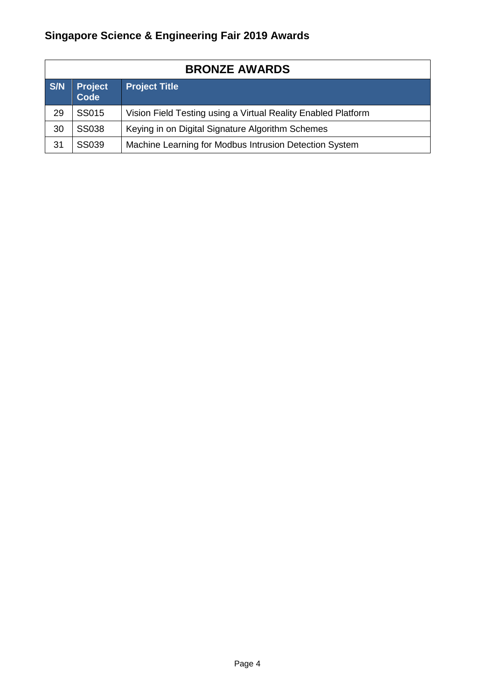## **Singapore Science & Engineering Fair 2019 Awards**

| <b>BRONZE AWARDS</b> |                                                       |                                                               |  |  |
|----------------------|-------------------------------------------------------|---------------------------------------------------------------|--|--|
| S/N                  | <b>Project</b><br><b>Project Title</b><br><b>Code</b> |                                                               |  |  |
| 29                   | SS015                                                 | Vision Field Testing using a Virtual Reality Enabled Platform |  |  |
| 30                   | <b>SS038</b>                                          | Keying in on Digital Signature Algorithm Schemes              |  |  |
| 31                   | <b>SS039</b>                                          | Machine Learning for Modbus Intrusion Detection System        |  |  |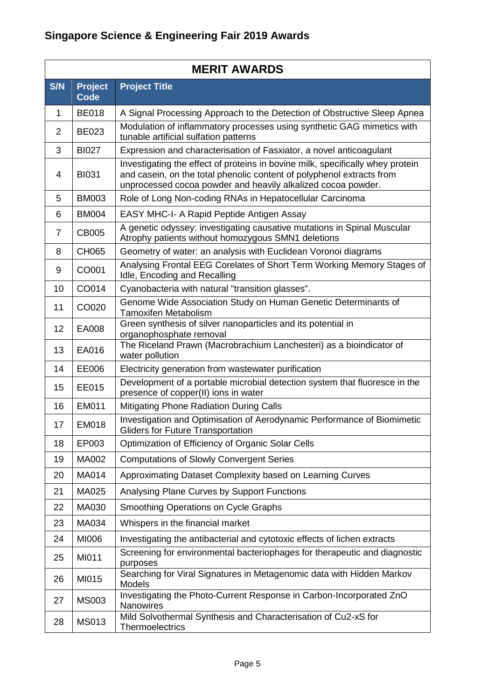|              | <b>MERIT AWARDS</b>    |                                                                                                                                                                                                                         |  |  |  |
|--------------|------------------------|-------------------------------------------------------------------------------------------------------------------------------------------------------------------------------------------------------------------------|--|--|--|
| S/N          | <b>Project</b><br>Code | <b>Project Title</b>                                                                                                                                                                                                    |  |  |  |
| $\mathbf{1}$ | <b>BE018</b>           | A Signal Processing Approach to the Detection of Obstructive Sleep Apnea                                                                                                                                                |  |  |  |
| 2            | <b>BE023</b>           | Modulation of inflammatory processes using synthetic GAG mimetics with<br>tunable artificial sulfation patterns                                                                                                         |  |  |  |
| 3            | <b>BI027</b>           | Expression and characterisation of Fasxiator, a novel anticoagulant                                                                                                                                                     |  |  |  |
| 4            | <b>BI031</b>           | Investigating the effect of proteins in bovine milk, specifically whey protein<br>and casein, on the total phenolic content of polyphenol extracts from<br>unprocessed cocoa powder and heavily alkalized cocoa powder. |  |  |  |
| 5            | <b>BM003</b>           | Role of Long Non-coding RNAs in Hepatocellular Carcinoma                                                                                                                                                                |  |  |  |
| 6            | <b>BM004</b>           | EASY MHC-I- A Rapid Peptide Antigen Assay                                                                                                                                                                               |  |  |  |
| 7            | <b>CB005</b>           | A genetic odyssey: investigating causative mutations in Spinal Muscular<br>Atrophy patients without homozygous SMN1 deletions                                                                                           |  |  |  |
| 8            | CH065                  | Geometry of water: an analysis with Euclidean Voronoi diagrams                                                                                                                                                          |  |  |  |
| 9            | CO001                  | Analysing Frontal EEG Corelates of Short Term Working Memory Stages of<br>Idle, Encoding and Recalling                                                                                                                  |  |  |  |
| 10           | CO014                  | Cyanobacteria with natural "transition glasses".                                                                                                                                                                        |  |  |  |
| 11           | CO020                  | Genome Wide Association Study on Human Genetic Determinants of<br><b>Tamoxifen Metabolism</b>                                                                                                                           |  |  |  |
| 12           | EA008                  | Green synthesis of silver nanoparticles and its potential in<br>organophosphate removal                                                                                                                                 |  |  |  |
| 13           | EA016                  | The Riceland Prawn (Macrobrachium Lanchesteri) as a bioindicator of<br>water pollution                                                                                                                                  |  |  |  |
| 14           | EE006                  | Electricity generation from wastewater purification                                                                                                                                                                     |  |  |  |
| 15           | EE015                  | Development of a portable microbial detection system that fluoresce in the<br>presence of copper(II) ions in water                                                                                                      |  |  |  |
| 16           | EM011                  | <b>Mitigating Phone Radiation During Calls</b>                                                                                                                                                                          |  |  |  |
| 17           | <b>EM018</b>           | Investigation and Optimisation of Aerodynamic Performance of Biomimetic<br><b>Gliders for Future Transportation</b>                                                                                                     |  |  |  |
| 18           | EP003                  | Optimization of Efficiency of Organic Solar Cells                                                                                                                                                                       |  |  |  |
| 19           | MA002                  | <b>Computations of Slowly Convergent Series</b>                                                                                                                                                                         |  |  |  |
| 20           | MA014                  | Approximating Dataset Complexity based on Learning Curves                                                                                                                                                               |  |  |  |
| 21           | MA025                  | Analysing Plane Curves by Support Functions                                                                                                                                                                             |  |  |  |
| 22           | MA030                  | Smoothing Operations on Cycle Graphs                                                                                                                                                                                    |  |  |  |
| 23           | MA034                  | Whispers in the financial market                                                                                                                                                                                        |  |  |  |
| 24           | MI006                  | Investigating the antibacterial and cytotoxic effects of lichen extracts                                                                                                                                                |  |  |  |
| 25           | MI011                  | Screening for environmental bacteriophages for therapeutic and diagnostic<br>purposes                                                                                                                                   |  |  |  |
| 26           | MI015                  | Searching for Viral Signatures in Metagenomic data with Hidden Markov<br>Models                                                                                                                                         |  |  |  |
| 27           | <b>MS003</b>           | Investigating the Photo-Current Response in Carbon-Incorporated ZnO<br>Nanowires                                                                                                                                        |  |  |  |
| 28           | <b>MS013</b>           | Mild Solvothermal Synthesis and Characterisation of Cu2-xS for<br><b>Thermoelectrics</b>                                                                                                                                |  |  |  |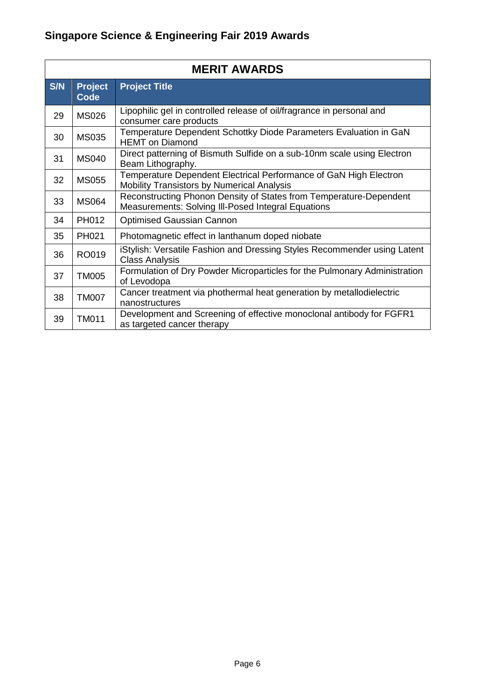|     | <b>MERIT AWARDS</b>           |                                                                                                                                 |  |  |  |  |
|-----|-------------------------------|---------------------------------------------------------------------------------------------------------------------------------|--|--|--|--|
| S/N | <b>Project</b><br><b>Code</b> | <b>Project Title</b>                                                                                                            |  |  |  |  |
| 29  | <b>MS026</b>                  | Lipophilic gel in controlled release of oil/fragrance in personal and<br>consumer care products                                 |  |  |  |  |
| 30  | <b>MS035</b>                  | Temperature Dependent Schottky Diode Parameters Evaluation in GaN<br><b>HEMT</b> on Diamond                                     |  |  |  |  |
| 31  | <b>MS040</b>                  | Direct patterning of Bismuth Sulfide on a sub-10nm scale using Electron<br>Beam Lithography.                                    |  |  |  |  |
| 32  | <b>MS055</b>                  | Temperature Dependent Electrical Performance of GaN High Electron<br><b>Mobility Transistors by Numerical Analysis</b>          |  |  |  |  |
| 33  | <b>MS064</b>                  | Reconstructing Phonon Density of States from Temperature-Dependent<br><b>Measurements: Solving III-Posed Integral Equations</b> |  |  |  |  |
| 34  | PH012                         | <b>Optimised Gaussian Cannon</b>                                                                                                |  |  |  |  |
| 35  | PH021                         | Photomagnetic effect in lanthanum doped niobate                                                                                 |  |  |  |  |
| 36  | RO019                         | iStylish: Versatile Fashion and Dressing Styles Recommender using Latent<br><b>Class Analysis</b>                               |  |  |  |  |
| 37  | <b>TM005</b>                  | Formulation of Dry Powder Microparticles for the Pulmonary Administration<br>of Levodopa                                        |  |  |  |  |
| 38  | <b>TM007</b>                  | Cancer treatment via phothermal heat generation by metallodielectric<br>nanostructures                                          |  |  |  |  |
| 39  | <b>TM011</b>                  | Development and Screening of effective monoclonal antibody for FGFR1<br>as targeted cancer therapy                              |  |  |  |  |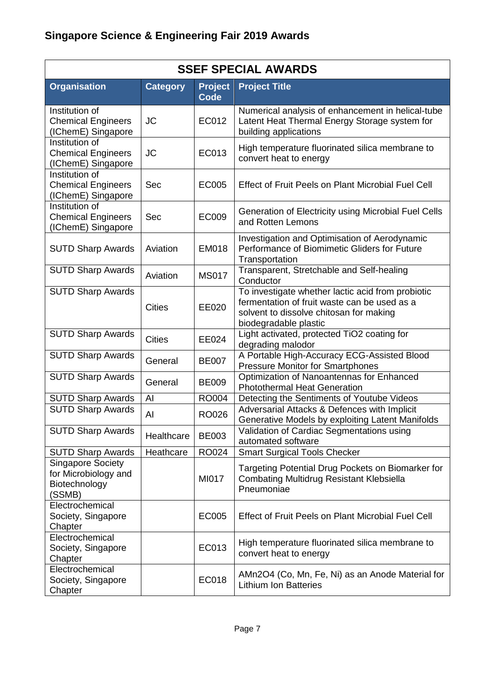| <b>SSEF SPECIAL AWARDS</b>                                                  |                 |                               |                                                                                                                                                                       |  |
|-----------------------------------------------------------------------------|-----------------|-------------------------------|-----------------------------------------------------------------------------------------------------------------------------------------------------------------------|--|
| <b>Organisation</b>                                                         | <b>Category</b> | <b>Project</b><br><b>Code</b> | <b>Project Title</b>                                                                                                                                                  |  |
| Institution of<br><b>Chemical Engineers</b><br>(IChemE) Singapore           | <b>JC</b>       | EC012                         | Numerical analysis of enhancement in helical-tube<br>Latent Heat Thermal Energy Storage system for<br>building applications                                           |  |
| Institution of<br><b>Chemical Engineers</b><br>(IChemE) Singapore           | <b>JC</b>       | EC013                         | High temperature fluorinated silica membrane to<br>convert heat to energy                                                                                             |  |
| Institution of<br><b>Chemical Engineers</b><br>(IChemE) Singapore           | Sec             | <b>EC005</b>                  | Effect of Fruit Peels on Plant Microbial Fuel Cell                                                                                                                    |  |
| Institution of<br><b>Chemical Engineers</b><br>(IChemE) Singapore           | <b>Sec</b>      | <b>EC009</b>                  | Generation of Electricity using Microbial Fuel Cells<br>and Rotten Lemons                                                                                             |  |
| <b>SUTD Sharp Awards</b>                                                    | Aviation        | <b>EM018</b>                  | Investigation and Optimisation of Aerodynamic<br>Performance of Biomimetic Gliders for Future<br>Transportation                                                       |  |
| <b>SUTD Sharp Awards</b>                                                    | Aviation        | <b>MS017</b>                  | Transparent, Stretchable and Self-healing<br>Conductor                                                                                                                |  |
| <b>SUTD Sharp Awards</b>                                                    | <b>Cities</b>   | EE020                         | To investigate whether lactic acid from probiotic<br>fermentation of fruit waste can be used as a<br>solvent to dissolve chitosan for making<br>biodegradable plastic |  |
| <b>SUTD Sharp Awards</b>                                                    | <b>Cities</b>   | EE024                         | Light activated, protected TiO2 coating for<br>degrading malodor                                                                                                      |  |
| <b>SUTD Sharp Awards</b>                                                    | General         | <b>BE007</b>                  | A Portable High-Accuracy ECG-Assisted Blood<br><b>Pressure Monitor for Smartphones</b>                                                                                |  |
| <b>SUTD Sharp Awards</b>                                                    | General         | <b>BE009</b>                  | Optimization of Nanoantennas for Enhanced<br><b>Photothermal Heat Generation</b>                                                                                      |  |
| <b>SUTD Sharp Awards</b>                                                    | AI              | <b>RO004</b>                  | Detecting the Sentiments of Youtube Videos                                                                                                                            |  |
| <b>SUTD Sharp Awards</b>                                                    | AI              | <b>RO026</b>                  | Adversarial Attacks & Defences with Implicit<br>Generative Models by exploiting Latent Manifolds                                                                      |  |
| <b>SUTD Sharp Awards</b>                                                    | Healthcare      | <b>BE003</b>                  | Validation of Cardiac Segmentations using<br>automated software                                                                                                       |  |
| <b>SUTD Sharp Awards</b>                                                    | Heathcare       | RO024                         | <b>Smart Surgical Tools Checker</b>                                                                                                                                   |  |
| <b>Singapore Society</b><br>for Microbiology and<br>Biotechnology<br>(SSMB) |                 | MI017                         | Targeting Potential Drug Pockets on Biomarker for<br><b>Combating Multidrug Resistant Klebsiella</b><br>Pneumoniae                                                    |  |
| Electrochemical<br>Society, Singapore<br>Chapter                            |                 | EC005                         | Effect of Fruit Peels on Plant Microbial Fuel Cell                                                                                                                    |  |
| Electrochemical<br>Society, Singapore<br>Chapter                            |                 | EC013                         | High temperature fluorinated silica membrane to<br>convert heat to energy                                                                                             |  |
| Electrochemical<br>Society, Singapore<br>Chapter                            |                 | <b>EC018</b>                  | AMn2O4 (Co, Mn, Fe, Ni) as an Anode Material for<br><b>Lithium Ion Batteries</b>                                                                                      |  |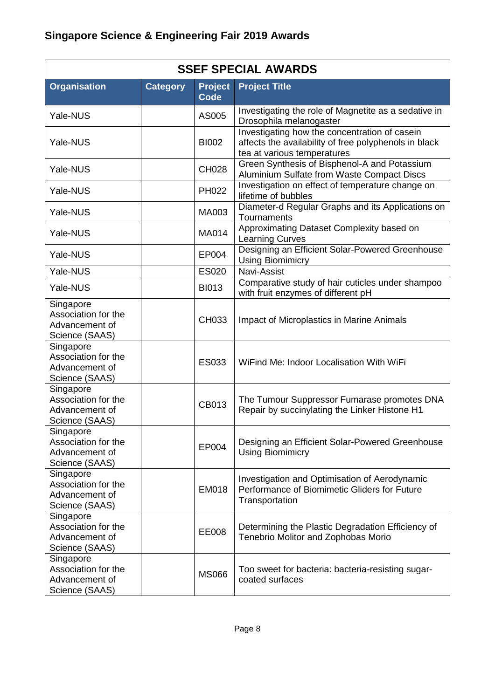| <b>SSEF SPECIAL AWARDS</b>                                           |                 |                               |                                                                                                                                       |  |
|----------------------------------------------------------------------|-----------------|-------------------------------|---------------------------------------------------------------------------------------------------------------------------------------|--|
| <b>Organisation</b>                                                  | <b>Category</b> | <b>Project</b><br><b>Code</b> | <b>Project Title</b>                                                                                                                  |  |
| Yale-NUS                                                             |                 | AS005                         | Investigating the role of Magnetite as a sedative in<br>Drosophila melanogaster                                                       |  |
| Yale-NUS                                                             |                 | <b>BI002</b>                  | Investigating how the concentration of casein<br>affects the availability of free polyphenols in black<br>tea at various temperatures |  |
| Yale-NUS                                                             |                 | <b>CH028</b>                  | Green Synthesis of Bisphenol-A and Potassium<br>Aluminium Sulfate from Waste Compact Discs                                            |  |
| Yale-NUS                                                             |                 | PH022                         | Investigation on effect of temperature change on<br>lifetime of bubbles                                                               |  |
| Yale-NUS                                                             |                 | MA003                         | Diameter-d Regular Graphs and its Applications on<br>Tournaments                                                                      |  |
| Yale-NUS                                                             |                 | MA014                         | Approximating Dataset Complexity based on<br><b>Learning Curves</b>                                                                   |  |
| Yale-NUS                                                             |                 | EP004                         | Designing an Efficient Solar-Powered Greenhouse<br><b>Using Biomimicry</b>                                                            |  |
| Yale-NUS                                                             |                 | <b>ES020</b>                  | Navi-Assist                                                                                                                           |  |
| Yale-NUS                                                             |                 | <b>BI013</b>                  | Comparative study of hair cuticles under shampoo<br>with fruit enzymes of different pH                                                |  |
| Singapore<br>Association for the<br>Advancement of<br>Science (SAAS) |                 | CH033                         | Impact of Microplastics in Marine Animals                                                                                             |  |
| Singapore<br>Association for the<br>Advancement of<br>Science (SAAS) |                 | ES033                         | WiFind Me: Indoor Localisation With WiFi                                                                                              |  |
| Singapore<br>Association for the<br>Advancement of<br>Science (SAAS) |                 | CB013                         | The Tumour Suppressor Fumarase promotes DNA<br>Repair by succinylating the Linker Histone H1                                          |  |
| Singapore<br>Association for the<br>Advancement of<br>Science (SAAS) |                 | EP004                         | Designing an Efficient Solar-Powered Greenhouse<br><b>Using Biomimicry</b>                                                            |  |
| Singapore<br>Association for the<br>Advancement of<br>Science (SAAS) |                 | EM018                         | Investigation and Optimisation of Aerodynamic<br>Performance of Biomimetic Gliders for Future<br>Transportation                       |  |
| Singapore<br>Association for the<br>Advancement of<br>Science (SAAS) |                 | EE008                         | Determining the Plastic Degradation Efficiency of<br>Tenebrio Molitor and Zophobas Morio                                              |  |
| Singapore<br>Association for the<br>Advancement of<br>Science (SAAS) |                 | <b>MS066</b>                  | Too sweet for bacteria: bacteria-resisting sugar-<br>coated surfaces                                                                  |  |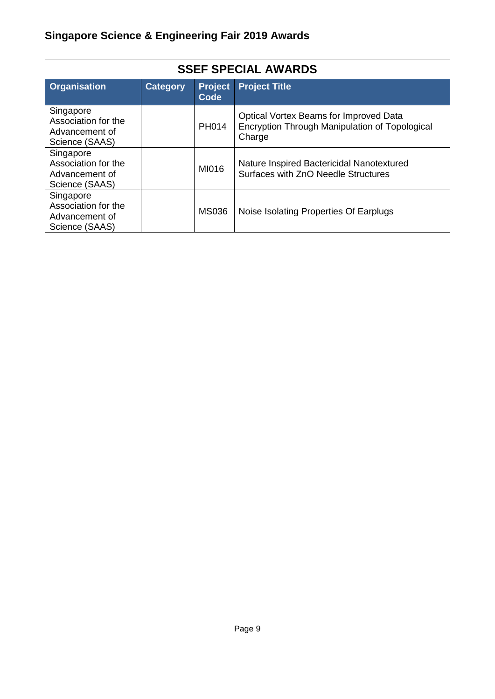## **Singapore Science & Engineering Fair 2019 Awards**

| <b>SSEF SPECIAL AWARDS</b>                                           |                 |                               |                                                                                                    |  |
|----------------------------------------------------------------------|-----------------|-------------------------------|----------------------------------------------------------------------------------------------------|--|
| <b>Organisation</b>                                                  | <b>Category</b> | <b>Project</b><br><b>Code</b> | <b>Project Title</b>                                                                               |  |
| Singapore<br>Association for the<br>Advancement of<br>Science (SAAS) |                 | <b>PH014</b>                  | Optical Vortex Beams for Improved Data<br>Encryption Through Manipulation of Topological<br>Charge |  |
| Singapore<br>Association for the<br>Advancement of<br>Science (SAAS) |                 | MI016                         | Nature Inspired Bactericidal Nanotextured<br>Surfaces with ZnO Needle Structures                   |  |
| Singapore<br>Association for the<br>Advancement of<br>Science (SAAS) |                 | <b>MS036</b>                  | Noise Isolating Properties Of Earplugs                                                             |  |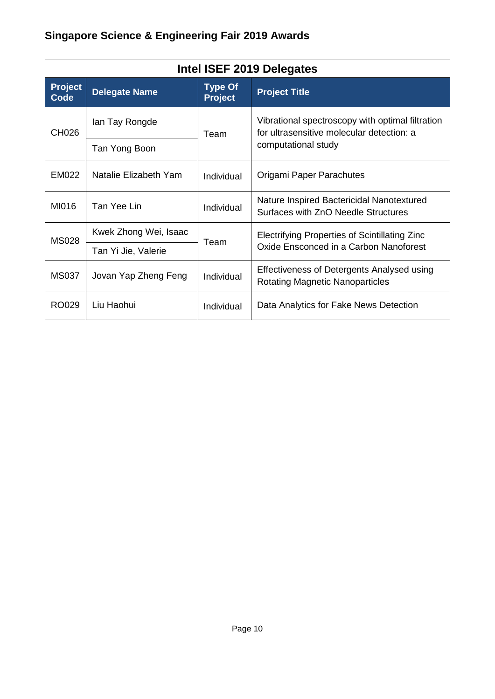## **Singapore Science & Engineering Fair 2019 Awards**

| Intel ISEF 2019 Delegates |                       |                                  |                                                                                               |  |
|---------------------------|-----------------------|----------------------------------|-----------------------------------------------------------------------------------------------|--|
| <b>Project</b><br>Code    | <b>Delegate Name</b>  | <b>Type Of</b><br><b>Project</b> | <b>Project Title</b>                                                                          |  |
| CH026                     | lan Tay Rongde        | Team                             | Vibrational spectroscopy with optimal filtration<br>for ultrasensitive molecular detection: a |  |
|                           | Tan Yong Boon         |                                  | computational study                                                                           |  |
| EM022                     | Natalie Elizabeth Yam | <b>Individual</b>                | Origami Paper Parachutes                                                                      |  |
| MI016                     | Tan Yee Lin           | Individual                       | Nature Inspired Bactericidal Nanotextured<br>Surfaces with ZnO Needle Structures              |  |
| <b>MS028</b>              | Kwek Zhong Wei, Isaac |                                  | Electrifying Properties of Scintillating Zinc                                                 |  |
|                           | Tan Yi Jie, Valerie   | Team                             | Oxide Ensconced in a Carbon Nanoforest                                                        |  |
| <b>MS037</b>              | Jovan Yap Zheng Feng  | Individual                       | Effectiveness of Detergents Analysed using<br><b>Rotating Magnetic Nanoparticles</b>          |  |
| RO029                     | Liu Haohui            | Individual                       | Data Analytics for Fake News Detection                                                        |  |